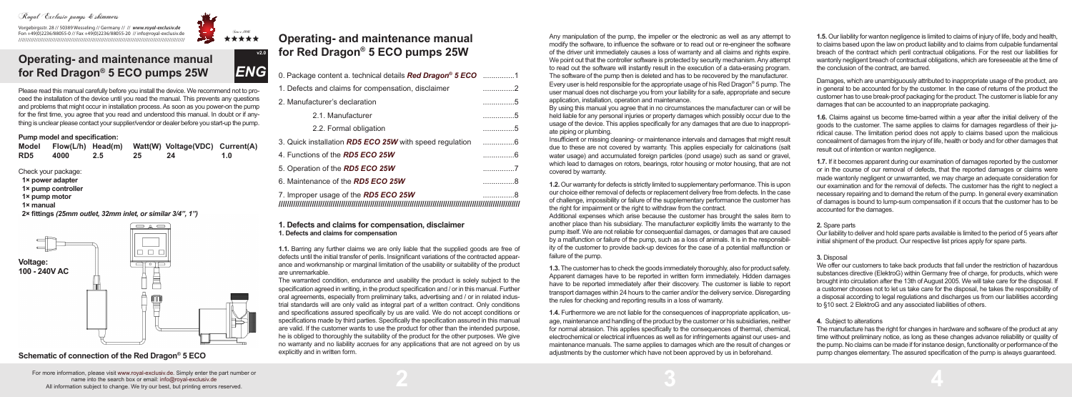#### Royal Exclusiv pumps & skimmers

Vorgebirgsstr. 28 // 50389 Wesseling // Germany // // *www.royal-exclusiv.de* Fon +49(0)2236/88055-0 // Fax +49(0)2236/88055-20 // info@royal-exclusiv.de ///////////////////////////////////////////////////////////////////////////////////////////////

# 冤

Any manipulation of the pump, the impeller or the electronic as well as any attempt to modify the software, to influence the software or to read out or re-engineer the software of the driver unit immediately causes a loss of warranty and all claims and rights expire. We point out that the controller software is protected by security mechanism. Any attempt to read out the software will instantly result in the execution of a data-erasing program. The software of the pump then is deleted and has to be recovered by the manufacturer. Every user is held responsible for the appropriate usage of his Red Dragon® 5 pump. The user manual does not discharge you from your liability for a safe, appropriate and secure application, installation, operation and maintenance.

By using this manual you agree that in no circumstances the manufacturer can or will be held liable for any personal injuries or property damages which possibly occur due to the usage of the device. This applies specifically for any damages that are due to inappropriate piping or plumbing.

Insufficient or missing cleaning- or maintenance intervals and damages that might result due to these are not covered by warranty. This applies especially for calcinations (salt water usage) and accumulated foreign particles (pond usage) such as sand or gravel, which lead to damages on rotors, bearings, rotor housing or motor housing, that are not covered by warranty.

**1.2.** Our warranty for defects is strictly limited to supplementary performance. This is upon our choice either removal of defects or replacement delivery free from defects. In the case of challenge, impossibility or failure of the supplementary performance the customer has the right for impairment or the right to withdraw from the contract.

Additional expenses which arise because the customer has brought the sales item to another place than his subsidiary. The manufacturer explicitly limits the warranty to the pump itself. We are not reliable for consequential damages, or damages that are caused by a malfunction or failure of the pump, such as a loss of animals. It is in the responsibility of the customer to provide back-up devices for the case of a potential malfunction or failure of the pump.

**1.1.** Barring any further claims we are only liable that the supplied goods are free of defects until the initial transfer of perils. Insignificant variations of the contracted appearance and workmanship or marginal limitation of the usability or suitability of the product are unremarkable.

**1.3.** The customer has to check the goods immediately thoroughly, also for product safety. Apparent damages have to be reported in written form immediately. Hidden damages have to be reported immediately after their discovery. The customer is liable to report transport damages within 24 hours to the carrier and/or the delivery service. Disregarding the rules for checking and reporting results in a loss of warranty.

**1.4.** Furthermore we are not liable for the consequences of inappropriate application, usage, maintenance and handling of the product by the customer or his subsidiaries, neither for normal abrasion. This applies specifically to the consequences of thermal, chemical, electrochemical or electrical influences as well as for infringements against our uses- and maintenance manuals. The same applies to damages which are the result of changes or adjustments by the customer which have not been approved by us in beforehand.

Please read this manual carefully before you install the device. We recommend not to proceed the installation of the device until you read the manual. This prevents any questions and problems that might occur in installation process. As soon as you power-on the pump for the first time, you agree that you read and understood this manual. In doubt or if anything is unclear please contact your supplier/vendor or dealer before you start-up the pump.

#### **Pump model and specification:**

#### Check your package:

**2.** Spare parts Our liability to deliver and hold spare parts available is limited to the period of 5 years after initial shipment of the product. Our respective list prices apply for spare parts.

- **1× power adapter 1× pump controller**
- **1× pump motor**
- **1× manual**

 **2× fittings** *(25mm outlet, 32mm inlet, or similar 3/4", 1")*



**Schematic of connection of the Red Dragon® 5 ECO** 

# **Operating- and maintenance manual for Red Dragon® 5 ECO pumps 25W**

| 0. Package content a. technical details <b>Red Dragon<sup>®</sup> 5 ECO</b> 1 |                |
|-------------------------------------------------------------------------------|----------------|
| 1. Defects and claims for compensation, disclaimer                            | . 2            |
| 2. Manufacturer's declaration                                                 | . 5            |
| 2.1. Manufacturer                                                             | . 5            |
| 2.2. Formal obligation                                                        | . 5            |
| 3. Quick installation <b>RD5 ECO 25W</b> with speed regulation                | . 6            |
| 4. Functions of the RD5 ECO 25W                                               | $\overline{6}$ |
| 5. Operation of the RD5 ECO 25W                                               | . 7            |
|                                                                               |                |
| 6. Maintenance of the RD5 ECO 25W                                             | . 8            |
| 7. Improper usage of the <b>RD5 ECO 25W</b>                                   | . 8            |
|                                                                               |                |



#### **1. Defects and claims for compensation, disclaimer 1. Defects and claims for compensation**

The warranted condition, endurance and usability the product is solely subject to the specification agreed in writing, in the product specification and / or in this manual. Further oral agreements, especially from preliminary talks, advertising and / or in related industrial standards will are only valid as integral part of a written contract. Only conditions and specifications assured specifically by us are valid. We do not accept conditions or specifications made by third parties. Specifically the specification assured in this manual are valid. If the customer wants to use the product for other than the intended purpose, he is obliged to thoroughly the suitability of the product for the other purposes. We give no warranty and no liability accrues for any applications that are not agreed on by us explicitly and in written form.

## **Operating- and maintenance manual for Red Dragon® 5 ECO pumps 25W**

| Model |      |               |    | Flow(L/h) Head(m) Watt(W) Voltage(VDC) Current(A) |     |
|-------|------|---------------|----|---------------------------------------------------|-----|
| RD5   | 4000 | $2.5^{\circ}$ | 25 | -24                                               | 1.0 |

**1.5.** Our liability for wanton negligence is limited to claims of injury of life, body and health, to claims based upon the law on product liability and to claims from culpable fundamental breach of the contract which peril contractual obligations. For the rest our liabilities for wantonly negligent breach of contractual obligations, which are foreseeable at the time of the conclusion of the contract, are barred.

Damages, which are unambiguously attributed to inappropriate usage of the product, are in general to be accounted for by the customer. In the case of returns of the product the customer has to use break-proof packaging for the product. The customer is liable for any damages that can be accounted to an inappropriate packaging.

**1.6.** Claims against us become time-barred within a year after the initial delivery of the goods to the customer. The same applies to claims for damages regardless of their juridical cause. The limitation period does not apply to claims based upon the malicious concealment of damages from the injury of life, health or body and for other damages that result out of intention or wanton negligence.

**1.7.** If it becomes apparent during our examination of damages reported by the customer or in the course of our removal of defects, that the reported damages or claims were made wantonly negligent or unwarranted, we may charge an adequate consideration for our examination and for the removal of defects. The customer has the right to neglect a necessary repairing and to demand the return of the pump. In general every examination of damages is bound to lump-sum compensation if it occurs that the customer has to be accounted for the damages.

**3.** Disposal We offer our customers to take back products that fall under the restriction of hazardous substances directive (ElektroG) within Germany free of charge, for products, which were brought into circulation after the 13th of August 2005. We will take care for the disposal. If a customer chooses not to let us take care for the disposal, he takes the responsibility of a disposal according to legal regulations and discharges us from our liabilities according to §10 sect. 2 ElektroG and any associated liabilities of others.

**4.** Subject to alterations

The manufacture has the right for changes in hardware and software of the product at any time without preliminary notice, as long as these changes advance reliability or quality of the pump. No claims can be made if for instance design, functionality or performance of the pump changes elementary. The assured specification of the pump is always guaranteed.



*ENG*